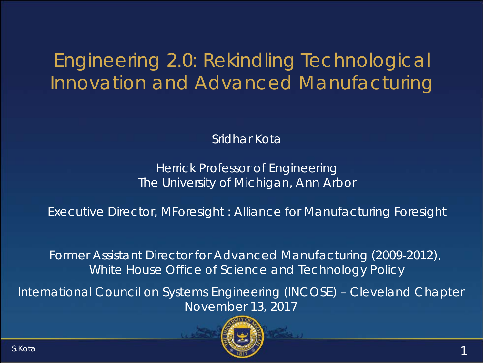## Engineering 2.0: Rekindling Technological Innovation and Advanced Manufacturing

Sridhar Kota

Herrick Professor of Engineering The University of Michigan, Ann Arbor

Executive Director, MForesight : Alliance for Manufacturing Foresight

Former Assistant Director for Advanced Manufacturing (2009-2012), White House Office of Science and Technology Policy

International Council on Systems Engineering (INCOSE) – Cleveland Chapter November 13, 2017

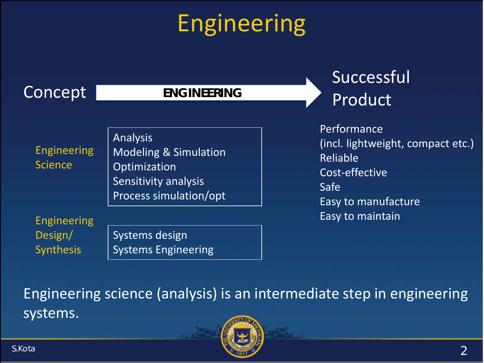# Engineering

## Concept

#### **ENGINEERING**

## Successful Product

Engineering Science

Analysis Modeling & Simulation **Optimization** Sensitivity analysis Process simulation/opt

Engineering Design/ **Synthesis** 

Systems design Systems Engineering Performance (incl. lightweight, compact etc.) Reliable Cost-effective Safe Easy to manufacture Easy to maintain

Engineering science (analysis) is an intermediate step in engineering systems.

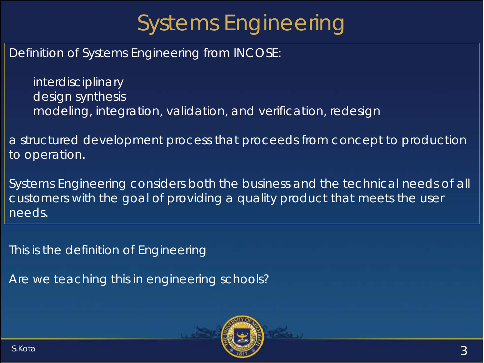# Systems Engineering

Definition of Systems Engineering from INCOSE:

interdisciplinary design synthesis modeling, integration, validation, and verification, redesign

a structured development process that proceeds from concept to production to operation.

Systems Engineering considers both the business and the technical needs of all customers with the goal of providing a quality product that meets the user needs.

*This is the definition of Engineering*

*Are we teaching this in engineering schools?* 

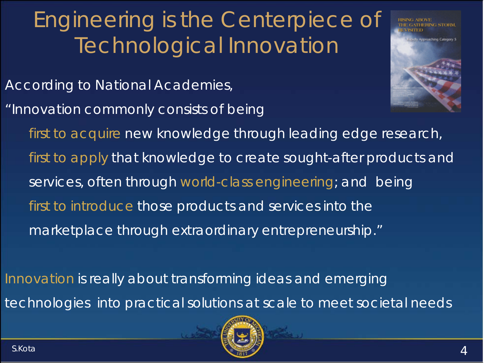# Engineering is the Centerpiece of Technological Innovation

*According to National Academies,*

*"Innovation commonly consists of being*



*first to acquire new knowledge through leading edge research, first to apply that knowledge to create sought-after products and services, often through world-class engineering; and being first to introduce those products and services into the marketplace through extraordinary entrepreneurship."* 

*Innovation is really about transforming ideas and emerging technologies into practical solutions at scale to meet societal needs*

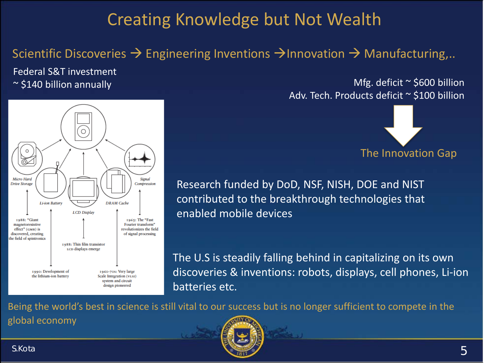## Creating Knowledge but Not Wealth

#### Scientific Discoveries  $\rightarrow$  Engineering Inventions  $\rightarrow$  Innovation  $\rightarrow$  Manufacturing,..

Federal S&T investment



~ \$140 billion annually Mfg. deficit ~ \$600 billion Adv. Tech. Products deficit ~ \$100 billion



Research funded by DoD, NSF, NISH, DOE and NIST contributed to the breakthrough technologies that enabled mobile devices

The U.S is steadily falling behind in capitalizing on its own discoveries & inventions: robots, displays, cell phones, Li-ion batteries etc.

Being the world's best in science is still vital to our success but is no longer sufficient to compete in the

global economy

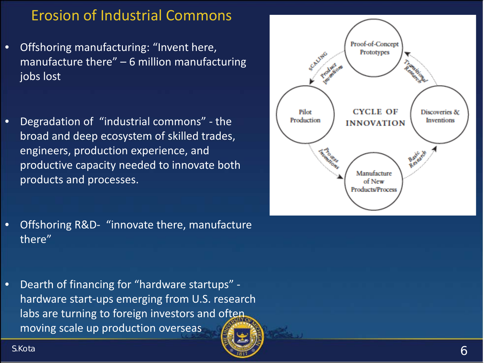#### Erosion of Industrial Commons

- Offshoring manufacturing: "Invent here, manufacture there" – 6 million manufacturing jobs lost
- Degradation of "industrial commons" the broad and deep ecosystem of skilled trades, engineers, production experience, and productive capacity needed to innovate both products and processes.



- Offshoring R&D- "innovate there, manufacture there"
- Dearth of financing for "hardware startups" hardware start-ups emerging from U.S. research labs are turning to foreign investors and often moving scale up production overseas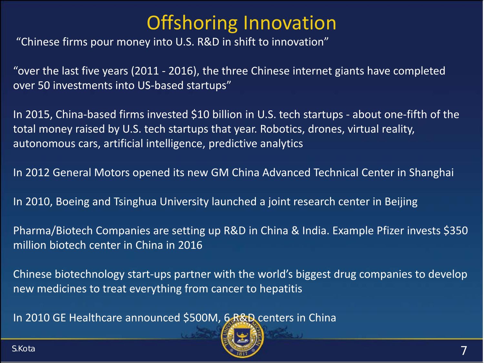## Offshoring Innovation

"Chinese firms pour money into U.S. R&D in shift to innovation"

"over the last five years (2011 - 2016), the three Chinese internet giants have completed over 50 investments into US-based startups"

In 2015, China-based firms invested \$10 billion in U.S. tech startups - about one-fifth of the total money raised by U.S. tech startups that year. Robotics, drones, virtual reality, autonomous cars, artificial intelligence, predictive analytics

In 2012 General Motors opened its new GM China Advanced Technical Center in Shanghai

In 2010, Boeing and Tsinghua University launched a joint research center in Beijing

Pharma/Biotech Companies are setting up R&D in China & India. Example Pfizer invests \$350 million biotech center in China in 2016

Chinese biotechnology start-ups partner with the world's biggest drug companies to develop new medicines to treat everything from cancer to hepatitis

In 2010 GE Healthcare announced \$500M, 6 R&D centers in China

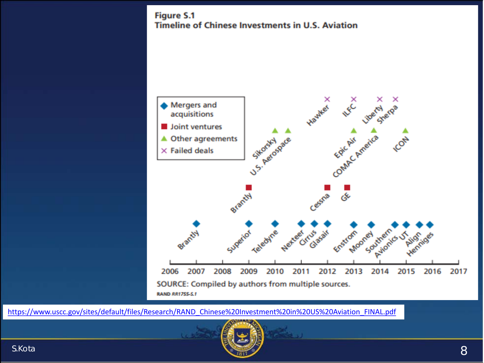**Figure S.1 Timeline of Chinese Investments in U.S. Aviation** 



[https://www.uscc.gov/sites/default/files/Research/RAND\\_Chinese%20Investment%20in%20US%20Aviation\\_FINAL.pdf](https://www.uscc.gov/sites/default/files/Research/RAND_Chinese%20Investment%20in%20US%20Aviation_FINAL.pdf)

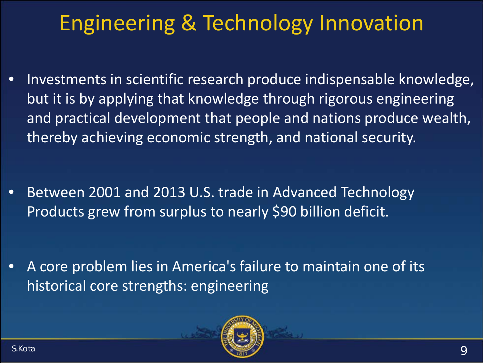# Engineering & Technology Innovation

• Investments in scientific research produce indispensable knowledge, but it is by applying that knowledge through rigorous engineering and practical development that people and nations produce wealth, thereby achieving economic strength, and national security.

• Between 2001 and 2013 U.S. trade in Advanced Technology Products grew from surplus to nearly \$90 billion deficit.

• A core problem lies in America's failure to maintain one of its historical core strengths: engineering

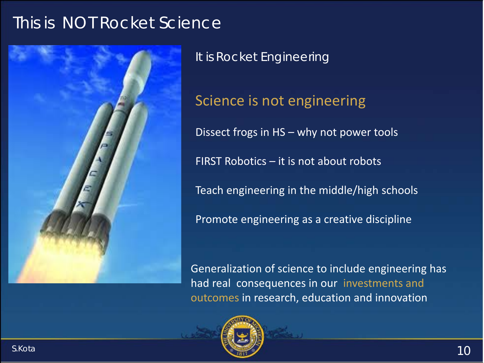## This is NOT Rocket Science



It is Rocket Engineering

Science is not engineering Dissect frogs in HS – why not power tools FIRST Robotics – it is not about robots Teach engineering in the middle/high schools Promote engineering as a creative discipline

Generalization of science to include engineering has had real consequences in our investments and outcomes in research, education and innovation

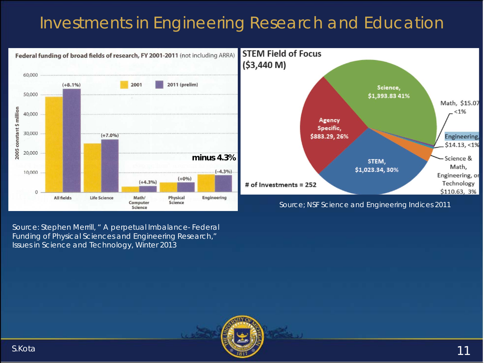## Investments in Engineering Research and Education



Source: Stephen Merrill, " A perpetual Imbalance- Federal Funding of Physical Sciences and Engineering Research," Issues in Science and Technology, Winter 2013

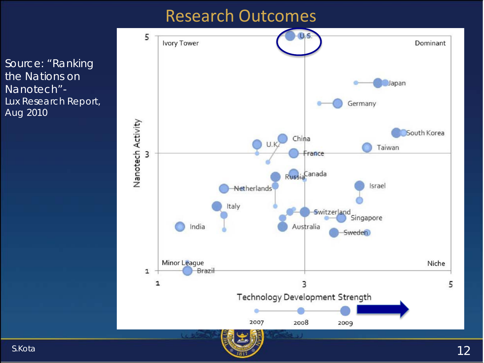### Research Outcomes

*Source: "Ranking the Nations on Nanotech"- Lux Research Report, Aug 2010*

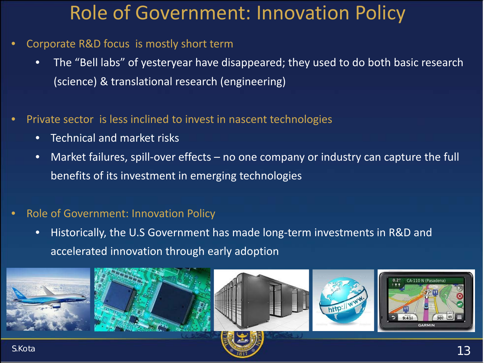## Role of Government: Innovation Policy

- Corporate R&D focus is mostly short term
	- The "Bell labs" of yesteryear have disappeared; they used to do both basic research (science) & translational research (engineering)
- Private sector is less inclined to invest in nascent technologies
	- Technical and market risks
	- Market failures, spill-over effects no one company or industry can capture the full benefits of its investment in emerging technologies

#### • Role of Government: Innovation Policy

• Historically, the U.S Government has made long-term investments in R&D and accelerated innovation through early adoption









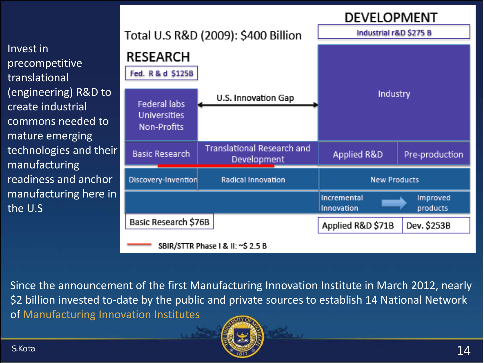#### **DEVELOPMENT**

Invest in precompetitive translational (engineering) R&D to create industrial commons needed to mature emerging technologies and their manufacturing readiness and anchor manufacturing here in the U.S

| Total U.S R&D (2009): \$400 Billion                       |                                           | Industrial r&D \$275 B    |                      |  |
|-----------------------------------------------------------|-------------------------------------------|---------------------------|----------------------|--|
| <b>RESEARCH</b><br>Fed. R & d \$125B                      |                                           |                           |                      |  |
| <b>Federal labs</b><br><b>Universities</b><br>Non-Profits | U.S. Innovation Gap                       | Industry                  |                      |  |
|                                                           |                                           |                           |                      |  |
| <b>Basic Research</b>                                     | Translational Research and<br>Development | Applied R&D               | Pre-production       |  |
| Discovery-Invention                                       | <b>Radical Innovation</b>                 | <b>New Products</b>       |                      |  |
|                                                           |                                           | Incremental<br>Innovation | Improved<br>products |  |
| Basic Research \$76B                                      |                                           | Applied R&D \$71B         | Dev. \$253B          |  |
| SBIR/STTR Phase   & II: ~\$ 2.5 B                         |                                           |                           |                      |  |

Since the announcement of the first Manufacturing Innovation Institute in March 2012, nearly \$2 billion invested to-date by the public and private sources to establish 14 National Network of Manufacturing Innovation Institutes

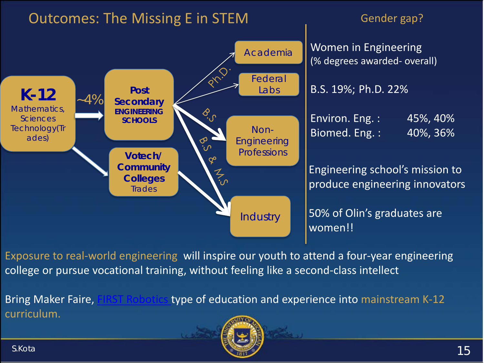

#### Gender gap?

Women in Engineering (% degrees awarded- overall)

B.S. 19%; Ph.D. 22%

| Environ. Eng.: | 45%, 40% |
|----------------|----------|
| Biomed. Eng.:  | 40%, 36% |

Engineering school's mission to produce engineering innovators

50% of Olin's graduates are women!!

Exposure to real-world engineering will inspire our youth to attend a four-year engineering college or pursue vocational training, without feeling like a second-class intellect

curriculum.

Bring Maker Faire, [FIRST Robotics t](https://www.youtube.com/watch?v=mtE6Va6oOhU#action=share)ype of education and experience into mainstream K-12

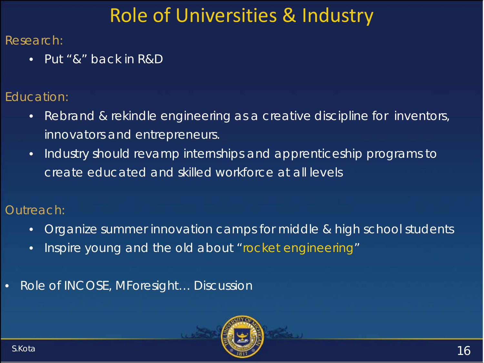# Role of Universities & Industry

#### Research:

• Put "&" back in R&D

#### Education:

- Rebrand & rekindle engineering as a creative discipline for inventors, innovators and entrepreneurs.
- Industry should revamp internships and apprenticeship programs to create educated and skilled workforce at all levels

#### Outreach:

- Organize summer innovation camps for middle & high school students
- Inspire young and the old about "rocket engineering"
- Role of INCOSE, MForesight… Discussion